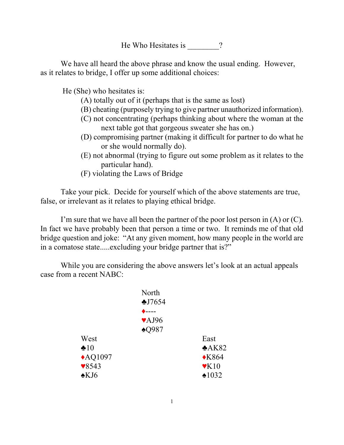He Who Hesitates is \_\_\_\_\_\_\_?

We have all heard the above phrase and know the usual ending. However, as it relates to bridge, I offer up some additional choices:

He (She) who hesitates is:

- (A) totally out of it (perhaps that is the same as lost)
- (B) cheating (purposely trying to give partner unauthorized information).
- (C) not concentrating (perhaps thinking about where the woman at the next table got that gorgeous sweater she has on.)
- (D) compromising partner (making it difficult for partner to do what he or she would normally do).
- (E) not abnormal (trying to figure out some problem as it relates to the particular hand).
- (F) violating the Laws of Bridge

Take your pick. Decide for yourself which of the above statements are true, false, or irrelevant as it relates to playing ethical bridge.

I'm sure that we have all been the partner of the poor lost person in  $(A)$  or  $(C)$ . In fact we have probably been that person a time or two. It reminds me of that old bridge question and joke: "At any given moment, how many people in the world are in a comatose state.....excluding your bridge partner that is?"

While you are considering the above answers let's look at an actual appeals case from a recent NABC:

|                    | North                     |                              |
|--------------------|---------------------------|------------------------------|
|                    | \$J7654                   |                              |
|                    | $- - - -$                 |                              |
|                    | $\blacktriangledown$ AJ96 |                              |
|                    | $\triangle$ Q987          |                              |
| West               |                           | East                         |
| $\clubsuit 10$     |                           | A K82                        |
| $\triangle$ AQ1097 |                           | $\triangle$ K864             |
| $\sqrt{8543}$      |                           | $\mathbf{\triangledown} K10$ |
| $\triangle$ KJ6    |                           | •1032                        |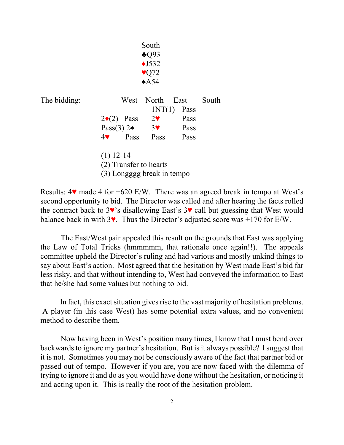|              |                                       |                            | South<br>$\triangle$ Q93<br>$\triangle$ J532 |              |       |  |
|--------------|---------------------------------------|----------------------------|----------------------------------------------|--------------|-------|--|
|              | $\sqrt{Q}$ 72<br>$*A54$               |                            |                                              |              |       |  |
| The bidding: |                                       | West                       | North<br>INT(1)                              | East<br>Pass | South |  |
|              |                                       | $2\bullet(2)$ Pass         | $2\bullet$                                   | Pass         |       |  |
|              |                                       |                            | Pass(3) $2\bullet$ 3                         | Pass         |       |  |
|              | $4\blacktriangledown$                 | Pass                       | Pass                                         | Pass         |       |  |
|              | $(1)$ 12-14<br>(2) Transfer to hearts |                            |                                              |              |       |  |
|              |                                       | (3) Longggg break in tempo |                                              |              |       |  |

Results:  $4\mathbf{v}$  made 4 for  $+620$  E/W. There was an agreed break in tempo at West's second opportunity to bid. The Director was called and after hearing the facts rolled the contract back to  $3\mathbf{v}$ 's disallowing East's  $3\mathbf{v}$  call but guessing that West would balance back in with  $3\vee$ . Thus the Director's adjusted score was +170 for E/W.

The East/West pair appealed this result on the grounds that East was applying the Law of Total Tricks (hmmmmm, that rationale once again!!). The appeals committee upheld the Director's ruling and had various and mostly unkind things to say about East's action. Most agreed that the hesitation by West made East's bid far less risky, and that without intending to, West had conveyed the information to East that he/she had some values but nothing to bid.

 In fact, this exact situation gives rise to the vast majority of hesitation problems. A player (in this case West) has some potential extra values, and no convenient method to describe them.

Now having been in West's position many times, I know that I must bend over backwards to ignore my partner's hesitation. But is it always possible? I suggest that it is not. Sometimes you may not be consciously aware of the fact that partner bid or passed out of tempo. However if you are, you are now faced with the dilemma of trying to ignore it and do as you would have done without the hesitation, or noticing it and acting upon it. This is really the root of the hesitation problem.